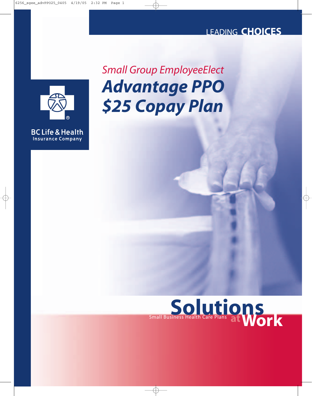## LEADING **CHOICES**



**BC Life & Health Insurance Company** 

*Advantage PPO \$25 Copay Plan Small Group EmployeeElect*

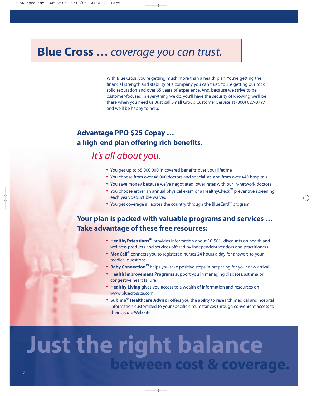## **Blue Cross …** *coverage you can trust.*

With Blue Cross, you're getting much more than a health plan. You're getting the financial strength and stability of a company you can trust. You're getting our rock solid reputation and over 65 years of experience. And, because we strive to be customer-focused in everything we do, you'll have the security of knowing we'll be there when you need us. Just call Small Group Customer Service at (800) 627-8797 and we'll be happy to help.

## **Advantage PPO \$25 Copay … a high-end plan offering rich benefits.**

## *It's all about you.*

- **•** You get up to \$5,000,000 in covered benefits over your lifetime
- **•** You choose from over 46,000 doctors and specialists, and from over 440 hospitals
- **•** You save money because we've negotiated lower rates with our in-network doctors
- You choose either an annual physical exam or a HealthyCheck<sup>SM</sup> preventive screening each year; deductible waived
- **•** You get coverage all across the country through the BlueCard® program

## **Your plan is packed with valuable programs and services … Take advantage of these free resources:**

- **HealthyExtensions**<sup>SM</sup> provides information about 10-50% discounts on health and wellness products and services offered by independent vendors and practitioners
- **• MedCall®** connects you to registered nurses 24 hours a day for answers to your medical questions
- **Baby Connection**<sup>SM</sup> helps you take positive steps in preparing for your new arrival
- **• Health Improvement Programs** support you in managing diabetes, asthma or congestive heart failure
- **• Healthy Living** gives you access to a wealth of information and resources on www.bluecrossca.com
- **• Subimo® Healthcare Advisor** offers you the ability to research medical and hospital information customized to your specific circumstances through convenient access to their secure Web site

# **Just the right balance between cost & coverage.**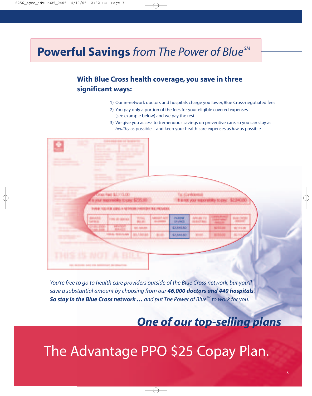# **Powerful Savings** *from The Power of Blue SM*

## **With Blue Cross health coverage, you save in three significant ways:**

- 1) Our in-network doctors and hospitals charge you lower, Blue Cross-negotiated fees
- 2) You pay only a portion of the fees for your eligible covered expenses (see example below) and we pay the rest
- 3) We give you access to tremendous savings on preventive care, so you can stay as *healthy* as possible – and keep your health care expenses as *low* as possible



*You're free to go to health care providers outside of the Blue Cross network, but you'll save a substantial amount by choosing from our 46,000 doctors and 440 hospitals. So stay in the Blue Cross network … and put The Power of BlueSM to work for you.*

## *One of our top-selling plans*

# The Advantage PPO \$25 Copay Plan.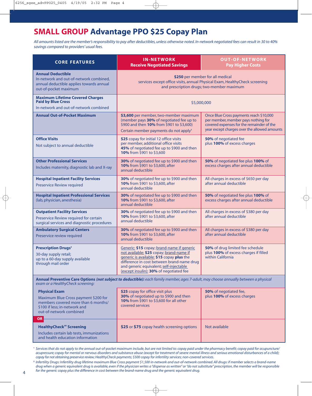## **SMALL GROUP Advantage PPO \$25 Copay Plan**

*All amounts listed are the member's responsibility to pay after deductibles, unless otherwise noted. In-network negotiated fees can result in 30 to 40% savings compared to providers' usual fees.*

| <b>CORE FEATURES</b>                                                                                                                                                      | <b>IN-NETWORK</b><br><b>Receive Negotiated Savings</b>                                                                                                                                                                                                                  | <b>OUT-OF-NETWORK</b><br><b>Pay Higher Costs</b>                                                                                                                            |
|---------------------------------------------------------------------------------------------------------------------------------------------------------------------------|-------------------------------------------------------------------------------------------------------------------------------------------------------------------------------------------------------------------------------------------------------------------------|-----------------------------------------------------------------------------------------------------------------------------------------------------------------------------|
| <b>Annual Deductible</b><br>In-network and out-of-network combined,<br>annual deductible applies towards annual<br>out-of-pocket maximum                                  | \$250 per member for all medical<br>services except office visits, annual Physical Exam, HealthyCheck screening<br>and prescription drugs; two-member maximum                                                                                                           |                                                                                                                                                                             |
| <b>Maximum Lifetime Covered Charges</b><br><b>Paid by Blue Cross</b><br>In-network and out-of-network combined                                                            | \$5,000,000                                                                                                                                                                                                                                                             |                                                                                                                                                                             |
| <b>Annual Out-of-Pocket Maximum</b>                                                                                                                                       | \$3,600 per member, two-member maximum<br>(member pays 30% of negotiated fee up to<br>\$900 and then 10% from \$901 to \$3,600)<br>Certain member payments do not apply <sup>1</sup>                                                                                    | Once Blue Cross payments reach \$10,000<br>per member, member pays nothing for<br>covered expenses for the remainder of the<br>year except charges over the allowed amounts |
| <b>Office Visits</b><br>Not subject to annual deductible                                                                                                                  | \$25 copay for initial 12 office visits<br>per member, additional office visits<br>45% of negotiated fee up to \$900 and then<br>10% from \$901 to \$3,600                                                                                                              | 50% of negotiated fee<br>plus 100% of excess charges                                                                                                                        |
| <b>Other Professional Services</b><br>Includes maternity, diagnostic lab and X-ray                                                                                        | 30% of negotiated fee up to \$900 and then<br>10% from \$901 to \$3,600, after<br>annual deductible                                                                                                                                                                     | 50% of negotiated fee plus 100% of<br>excess charges after annual deductible                                                                                                |
| <b>Hospital Inpatient Facility Services</b><br><b>Preservice Review required</b>                                                                                          | 30% of negotiated fee up to \$900 and then<br>10% from \$901 to \$3,600, after<br>annual deductible                                                                                                                                                                     | All charges in excess of \$650 per day<br>after annual deductible                                                                                                           |
| <b>Hospital Inpatient Professional Services</b><br>(lab, physician, anesthesia)                                                                                           | 30% of negotiated fee up to \$900 and then<br>10% from \$901 to \$3,600, after<br>annual deductible                                                                                                                                                                     | 50% of negotiated fee plus 100% of<br>excess charges after annual deductible                                                                                                |
| <b>Outpatient Facility Services</b><br>Preservice Review required for certain<br>surgical services and diagnostic procedures                                              | 30% of negotiated fee up to \$900 and then<br>10% from \$901 to \$3,600, after<br>annual deductible                                                                                                                                                                     | All charges in excess of \$380 per day<br>after annual deductible                                                                                                           |
| <b>Ambulatory Surgical Centers</b><br>Preservice review required                                                                                                          | 30% of negotiated fee up to \$900 and then<br>10% from \$901 to \$3,600, after<br>annual deductible                                                                                                                                                                     | All charges in excess of \$380 per day<br>after annual deductible                                                                                                           |
| <b>Prescription Drugs<sup>2</sup></b><br>30-day supply retail;<br>up to a 60-day supply available<br>through mail order                                                   | Generic: \$15 copay; brand-name if generic<br>not available: \$25 copay; brand-name if<br>generic is available: \$15 copay plus the<br>difference in cost between brand-name drug<br>and generic equivalent; self-injectable<br>(except insulin): 30% of negotiated fee | 50% of drug limited fee schedule<br>plus 100% of excess charges if filled<br>within California                                                                              |
| Annual Preventive Care Options (not subject to deductible): each family member, ages 7-adult, may choose annually between a physical<br>exam or a HealthyCheck screening: |                                                                                                                                                                                                                                                                         |                                                                                                                                                                             |
| <b>Physical Exam</b><br>Maximum Blue Cross payment \$200 for<br>members covered more than 6 months/<br>\$100 if less; in-network and<br>out-of-network combined           | \$25 copay for office visit plus<br>30% of negotiated up to \$900 and then<br>10% from \$901 to \$3,600 for all other<br>covered services                                                                                                                               | 50% of negotiated fee,<br>plus 100% of excess charges                                                                                                                       |
| <b>OR</b><br><b>HealthyCheck<sup>™</sup> Screening</b><br>Includes certain lab tests, immunizations<br>and health education information                                   | \$25 or \$75 copay health screening options                                                                                                                                                                                                                             | Not available                                                                                                                                                               |

**<sup>1</sup>** *Services that do not apply to the annual out-of-pocket maximum include, but are not limited to: copay paid under the pharmacy benefit; copay paid for acupuncture/ acupressure; copay for mental or nervous disorders and substance abuse (except for treatment of severe mental illness and serious emotional disturbances of a child); copay for not obtaining preservice review; HealthyCheck payments; \$500 copay for infertility services; non-covered services.*

**<sup>2</sup>** *Infertility Drugs: Infertility drug lifetime maximum Blue Cross payment \$1,500 in-network and out-of-network combined. All drugs: if member selects a brand-name drug when a generic equivalent drug is available, even if the physician writes a "dispense as written" or "do not substitute" prescription, the member will be responsible for the generic copay plus the difference in cost between the brand-name drug and the generic equivalent drug.*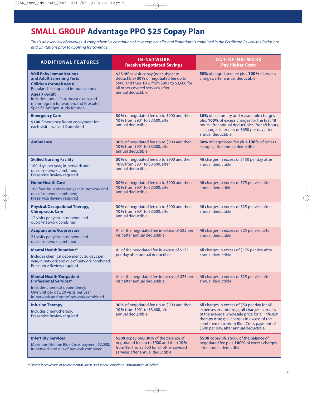## **SMALL GROUP Advantage PPO \$25 Copay Plan**

*This is an overview of coverage. A comprehensive description of coverage, benefits and limitations is contained in the Certificate. Review the Exclusions and Limitations prior to applying for coverage.*

| <b>ADDITIONAL FEATURES</b>                                                                                                                                                                                                                                                | <b>IN-NETWORK</b><br><b>Receive Negotiated Savings</b>                                                                                                                                       | <b>OUT-OF-NETWORK</b><br><b>Pay Higher Costs</b>                                                                                                                                                                                                                                    |
|---------------------------------------------------------------------------------------------------------------------------------------------------------------------------------------------------------------------------------------------------------------------------|----------------------------------------------------------------------------------------------------------------------------------------------------------------------------------------------|-------------------------------------------------------------------------------------------------------------------------------------------------------------------------------------------------------------------------------------------------------------------------------------|
| <b>Well Baby Immunizations</b><br>and Adult Screening Tests<br><b>Children through age 6</b><br>Regular check-up and immunizations<br><b>Ages 7-Adult</b><br>Includes annual Pap, breast exam, and<br>mammogram for women, and Prostate<br>Specific Antigen study for men | \$25 office visit copay (not subject to<br>deductible) 30% of negotiated fee up to<br>\$900 and then 10% from \$901 to \$3,600 for<br>all other covered services, after<br>annual deductible | 50% of negotiated fee plus 100% of excess<br>charges, after annual deductible                                                                                                                                                                                                       |
| <b>Emergency Care</b><br>\$100 Emergency Room copayment for<br>each visit - waived if admitted                                                                                                                                                                            | 30% of negotiated fee up to \$900 and then<br>10% from \$901 to \$3,600, after<br>annual deductible                                                                                          | 30% of customary and reasonable charges<br>plus 100% of excess charges for the first 48<br>hours after annual deductible; after 48 hours,<br>all charges in excess of \$650 per day after<br>annual deductible                                                                      |
| <b>Ambulance</b>                                                                                                                                                                                                                                                          | 30% of negotiated fee up to \$900 and then<br>10% from \$901 to \$3,600, after<br>annual deductible                                                                                          | 50% of negotiated fee plus 100% of excess<br>charges, after annual deductible                                                                                                                                                                                                       |
| <b>Skilled Nursing Facility</b><br>100 days per year, in-network and<br>out-of-network combined;<br><b>Preservice Review required</b>                                                                                                                                     | 30% of negotiated fee up to \$900 and then<br>10% from \$901 to \$3,600, after<br>annual deductible                                                                                          | All charges in excess of \$150 per day after<br>annual deductible                                                                                                                                                                                                                   |
| <b>Home Health Care</b><br>100 four-hour visits per year, in-network and<br>out-of-network combined;<br><b>Preservice Review required</b>                                                                                                                                 | 30% of negotiated fee up to \$900 and then<br>10% from \$901 to \$3,600, after<br>annual deductible                                                                                          | All charges in excess of \$75 per visit after<br>annual deductible                                                                                                                                                                                                                  |
| <b>Physical/Occupational Therapy,</b><br><b>Chiropractic Care</b><br>12 visits per year, in-network and<br>out-of-network combined                                                                                                                                        | 30% of negotiated fee up to \$900 and then<br>10% from \$901 to \$3,600, after<br>annual deductible                                                                                          | All charges in excess of \$25 per visit after<br>annual deductible                                                                                                                                                                                                                  |
| <b>Acupuncture/Acupressure</b><br>24 visits per year, in-network and<br>out-of-network combined                                                                                                                                                                           | All of the negotiated fee in excess of \$25 per<br>visit after annual deductible                                                                                                             | All charges in excess of \$25 per visit after<br>annual deductible                                                                                                                                                                                                                  |
| <b>Mental Health/Inpatient*</b><br>Includes chemical dependency 30 days per<br>year, in-network and out-of-network combined;<br>Preservice Review required                                                                                                                | All of the negotiated fee in excess of \$175<br>per day after annual deductible                                                                                                              | All charges in excess of \$175 per day after<br>annual deductible                                                                                                                                                                                                                   |
| <b>Mental Health/Outpatient</b><br><b>Professional Services*</b><br>Includes chemical dependency;<br>One visit per day, 20 visits per year,<br>in-network and out-of-network combined                                                                                     | All of the negotiated fee in excess of \$25 per<br>visit after annual deductible                                                                                                             | All charges in excess of \$25 per visit after<br>annual deductible                                                                                                                                                                                                                  |
| <b>Infusion Therapy</b><br>Includes chemotherapy;<br>Preservice Review required                                                                                                                                                                                           | 30% of negotiated fee up to \$900 and then<br>10% from \$901 to \$3,600, after<br>annual deductible                                                                                          | All charges in excess of \$50 per day for all<br>expenses except drugs; all charges in excess<br>of the average wholesale price for all infusion<br>therapy drugs; all charges in excess of the<br>combined maximum Blue Cross payment of<br>\$500 per day; after annual deductible |
| <b>Infertility Services</b><br>Maximum lifetime Blue Cross payment \$2,000,<br>in-network and out-of-network combined                                                                                                                                                     | \$500 copay plus 30% of the balance of<br>negotiated fee up to \$900 and then 10%<br>from \$901 to \$3,600 for all other covered<br>services after annual deductible                         | \$500 copay plus 50% of the balance of<br>negotiated fee plus 100% of excess charges<br>after annual deductible                                                                                                                                                                     |

**\*** *Except for coverage of severe mental illness and serious emotional disturbances of a child.*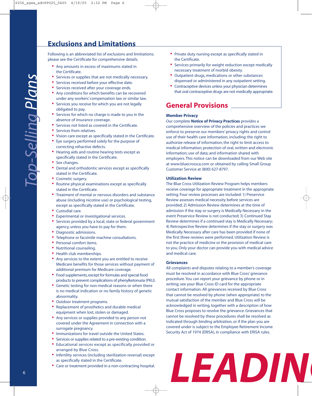## **Exclusions and Limitations**

Following is an abbreviated list of exclusions and limitiations; please see the Certificate for comprehensive details.

- **•** Any amounts in excess of maximums stated in the Certificate.
- **•** Services or supplies that are not medically necessary.
- **•** Services received before your effective date.
- **•** Services received after your coverage ends.
- **•** Any conditions for which benefits can be recovered under any workers' compensation law or similar law.
- **•** Services you receive for which you are not legally obligated to pay.
- **•** Services for which no charge is made to you in the absence of insurance coverage.
- **•** Services not listed as covered in the Certificate.
- **•** Services from relatives.
- **•** Vision care except as specifically stated in the Certificate.
- **•** Eye surgery performed solely for the purpose of correcting refractive defects.
- **•** Hearing aids and routine hearing tests except as specifically stated in the Certificate.
- **•** Sex changes.
- **•** Dental and orthodontic services except as specifically stated in the Certificate.
- **•** Cosmetic surgery.
- **•** Routine physical examinations except as specifically stated in the Certificate.
- **•** Treatment of mental or nervous disorders and substance abuse (including nicotine use) or psychological testing, except as specifically stated in the Certificate.
- **•** Custodial care.
- **•** Experimental or investigational services.
- **•** Services provided by a local, state or federal government agency, unless you have to pay for them.
- **•** Diagnostic admissions.
- **•** Telephone or facsimile machine consultations.
- **•** Personal comfort items.
- **•** Nutritional counseling.
- **•** Health club memberships.
- **•** Any services to the extent you are entitled to receive Medicare benefits for those services without payment of additional premium for Medicare coverage.
- **•** Food supplements, except for formulas and special food products to prevent complications of phenylketonuria (PKU).
- **•** Genetic testing for non-medical reasons or when there is no medical indication or no family history of genetic abnormality.
- **•** Outdoor treatment programs.
- **•** Replacement of prosthetics and durable medical equipment when lost, stolen or damaged.
- **•** Any services or supplies provided to any person not covered under the Agreement in connection with a surrogate pregnancy.
- **•** Immunizations for travel outside the United States.
- **•** Services or supplies related to a pre-existing condition.
- **•** Educational services except as specifically provided or arranged by Blue Cross.
- **•** Infertility services (including sterilization reversal) except as specifically stated in the Certificate.
- **•** Care or treatment provided in a non-contracting hospital.
- **•** Private duty nursing except as specifically stated in the Certificate.
- **•** Services primarily for weight reduction except medically necessary treatment of morbid obesity.
- **•** Outpatient drugs, medications or other substances dispensed or administered in any outpatient setting.
- **•** Contraceptive devices unless your physician determines that oral contraceptive drugs are not medically appropriate.

### **General Provisions**

#### **Member Privacy**

Our complete **Notice of Privacy Practices** provides a comprehensive overview of the policies and practices we enforce to preserve our members' privacy rights and control use of their health care information, including: the right to authorize release of information; the right to limit access to medical information; protection of oral, written and electronic information; use of data; and information shared with employers. This notice can be downloaded from our Web site at www.bluecrossca.com or obtained by calling Small Group Customer Service at (800) 627-8797.

#### **Utilization Review**

The Blue Cross Utilization Review Program helps members receive coverage for appropriate treatment in the appropriate setting. Four review processes are included: 1) Preservice Review assesses medical necessity before services are provided; 2) Admission Review determines at the time of admission if the stay or surgery is Medically Necessary in the event Preservice Review is not conducted; 3) Continued Stay Review determines if a continued stay is Medically Necessary; 4) Retrospective Review determines if the stay or surgery was Medically Necessary after care has been provided if none of the first three reviews were performed. Utilization Review is not the practice of medicine or the provision of medical care to you. Only your doctor can provide you with medical advice and medical care.

#### **Grievances**

All complaints and disputes relating to a member's coverage must be resolved in accordance with Blue Cross' grievance procedure. You can report your grievance by phone or in writing; see your Blue Cross ID card for the appropriate contact information. All grievances received by Blue Cross that cannot be resolved by phone (when appropriate) to the mutual satisfaction of the member and Blue Cross will be acknowledged in writing, together with a description of how Blue Cross proposes to resolve the grievance. Grievances that cannot be resolved by these procedures shall be resolved as indicated through binding arbitration, or if the plan you are covered under is subject to the Employee Retirement Income Security Act of 1974 (ERISA), in compliance with ERISA rules.

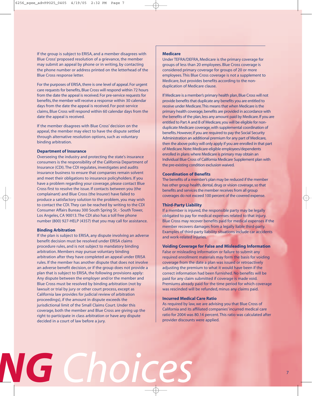If the group is subject to ERISA, and a member disagrees with Blue Cross' proposed resolution of a grievance, the member may submit an appeal by phone or in writing, by contacting the phone number or address printed on the letterhead of the Blue Cross response letter.

For the purposes of ERISA, there is one level of appeal. For urgent care requests for benefits, Blue Cross will respond within 72 hours from the date the appeal is received. For pre-service requests for benefits, the member will receive a response within 30 calendar days from the date the appeal is received. For post-service claims, Blue Cross will respond within 60 calendar days from the date the appeal is received.

If the member disagrees with Blue Cross' decision on the appeal, the member may elect to have the dispute settled through alternative resolution options, such as voluntary binding arbitration.

#### **Department of Insurance**

Overseeing the industry and protecting the state's insurance consumers is the responsibility of the California Department of Insurance (CDI). The CDI regulates, investigates and audits insurance business to ensure that companies remain solvent and meet their obligations to insurance policyholders. If you have a problem regarding your coverage, please contact Blue Cross first to resolve the issue. If contacts between you (the complainant) and Blue Cross (the Insurer) have failed to produce a satisfactory solution to the problem, you may wish to contact the CDI. They can be reached by writing to the CDI Consumer Affairs Bureau 300 South Spring St. - South Tower, Los Angeles, CA 90013. The CDI also has a toll free phone number (800) 927-HELP (4357) that you may call for assistance.

#### **Binding Arbitration**

If the plan is subject to ERISA, any dispute involving an adverse benefit decision must be resolved under ERISA claims procedure rules, and is not subject to mandatory binding arbitration. Members may pursue voluntary binding arbitration after they have completed an appeal under ERISA rules. If the member has another dispute that does not involve an adverse benefit decision, or if the group does not provide a plan that is subject to ERISA, the following provisions apply: Any dispute between the employer and/or the member and Blue Cross must be resolved by binding arbitration (not by lawsuit or trial by jury or other court process, except as California law provides for judicial review of arbitration proceedings), if the amount in dispute exceeds the jurisdictional limit of the Small Claims Court. Under this coverage, both the member and Blue Cross are giving up the right to participate in class arbitration or have any dispute decided in a court of law before a jury.

#### **Medicare**

Under TEFRA/DEFRA, Medicare is the primary coverage for groups of less than 20 employees. Blue Cross coverage is considered primary coverage for groups of 20 or more employees. This Blue Cross coverage is not a supplement to Medicare, but provides benefits according to the nonduplication of Medicare clause.

If Medicare is a member's primary health plan, Blue Cross will not provide benefits that duplicate any benefits you are entitled to receive under Medicare.This means that when Medicare is the primary health coverage, benefits are provided in accordance with the benefits of the plan, less any amount paid by Medicare. If you are entitled to Part A and B of Medicare, you will be eligible for nonduplicate Medicare coverage, with supplemental coordination of benefits. However, if you are required to pay the Social Security Administration an additional premium for any part of Medicare, then the above policy will only apply if you are enrolled in that part of Medicare. Note: Medicare-eligible employees/dependents enrolled in plans where Medicare is primary may obtain an Individual Blue Cross of California Medicare Supplement plan with the pre-existing condition exclusion waived.

### **Coordination of Benefits**

The benefits of a member's plan may be reduced if the member has other group health, dental, drug or vision coverage, so that benefits and services the member receives from all group coverages do not exceed 100 percent of the covered expense.

#### **Third-Party Liability**

If a member is injured, the responsible party may be legally obligated to pay for medical expenses related to that injury. Blue Cross may recover benefits paid for medical expenses if the member recovers damages from a legally liable third-party. Examples of third-party liability situations include car accidents and work-related injuries.

### **Voiding Coverage for False and Misleading Information**

False or misleading information or failure to submit any required enrollment materials may form the basis for voiding coverage from the date a plan was issued or retroactively adjusting the premium to what it would have been if the correct information had been furnished. No benefits will be paid for any claim submitted if coverage is made void. Premiums already paid for the time period for which coverage was rescinded will be refunded, minus any claims paid.

#### **Incurred Medical Care Ratio**

As required by law, we are advising you that Blue Cross of California and its affiliated companies' incurred medical care ratio for 2004 was 80.14 percent. This ratio was calculated after provider discounts were applied.